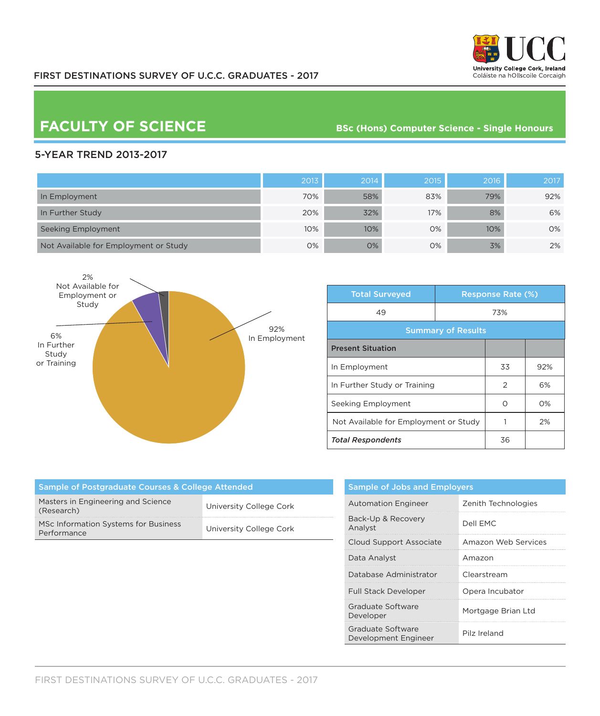

### FIRST DESTINATIONS SURVEY OF U.C.C. GRADUATES - 2017

# **FACULTY OF SCIENCE BSc (Hons) Computer Science - Single Honours**

## 5-YEAR TREND 2013-2017

|                                       | 2013 | 2014 | 2015 | 2016 | 2017 |
|---------------------------------------|------|------|------|------|------|
| In Employment                         | 70%  | 58%  | 83%  | 79%  | 92%  |
| In Further Study                      | 20%  | 32%  | 17%  | 8%   | 6%   |
| Seeking Employment                    | 10%  | 10%  | 0%   | 10%  | 0%   |
| Not Available for Employment or Study | 0%   | 0%   | O%   | 3%   | 2%   |



| <b>Total Surveyed</b>                 |     | <b>Response Rate (%)</b> |       |  |
|---------------------------------------|-----|--------------------------|-------|--|
| 49                                    | 73% |                          |       |  |
| <b>Summary of Results</b>             |     |                          |       |  |
| <b>Present Situation</b>              |     |                          |       |  |
| In Employment                         |     | 33                       | 92%   |  |
| In Further Study or Training          |     | 2                        | 6%    |  |
| Seeking Employment                    |     | ∩                        | $O\%$ |  |
| Not Available for Employment or Study |     |                          | 2%    |  |
| <b>Total Respondents</b>              |     | 36                       |       |  |

| Sample of Postgraduate Courses & College Attended   |                         |  |
|-----------------------------------------------------|-------------------------|--|
| Masters in Engineering and Science<br>(Research)    | University College Cork |  |
| MSc Information Systems for Business<br>Performance | University College Cork |  |

| <b>Sample of Jobs and Employers</b>       |                     |  |
|-------------------------------------------|---------------------|--|
| <b>Automation Engineer</b>                | Zenith Technologies |  |
| Back-Up & Recovery<br>Analyst             | Dell FMC            |  |
| Cloud Support Associate                   | Amazon Web Services |  |
| Data Analyst                              | Amazon              |  |
| Database Administrator                    | Clearstream         |  |
| <b>Full Stack Developer</b>               | Opera Incubator     |  |
| Graduate Software<br>Developer            | Mortgage Brian Ltd  |  |
| Graduate Software<br>Development Engineer | Pilz Ireland        |  |